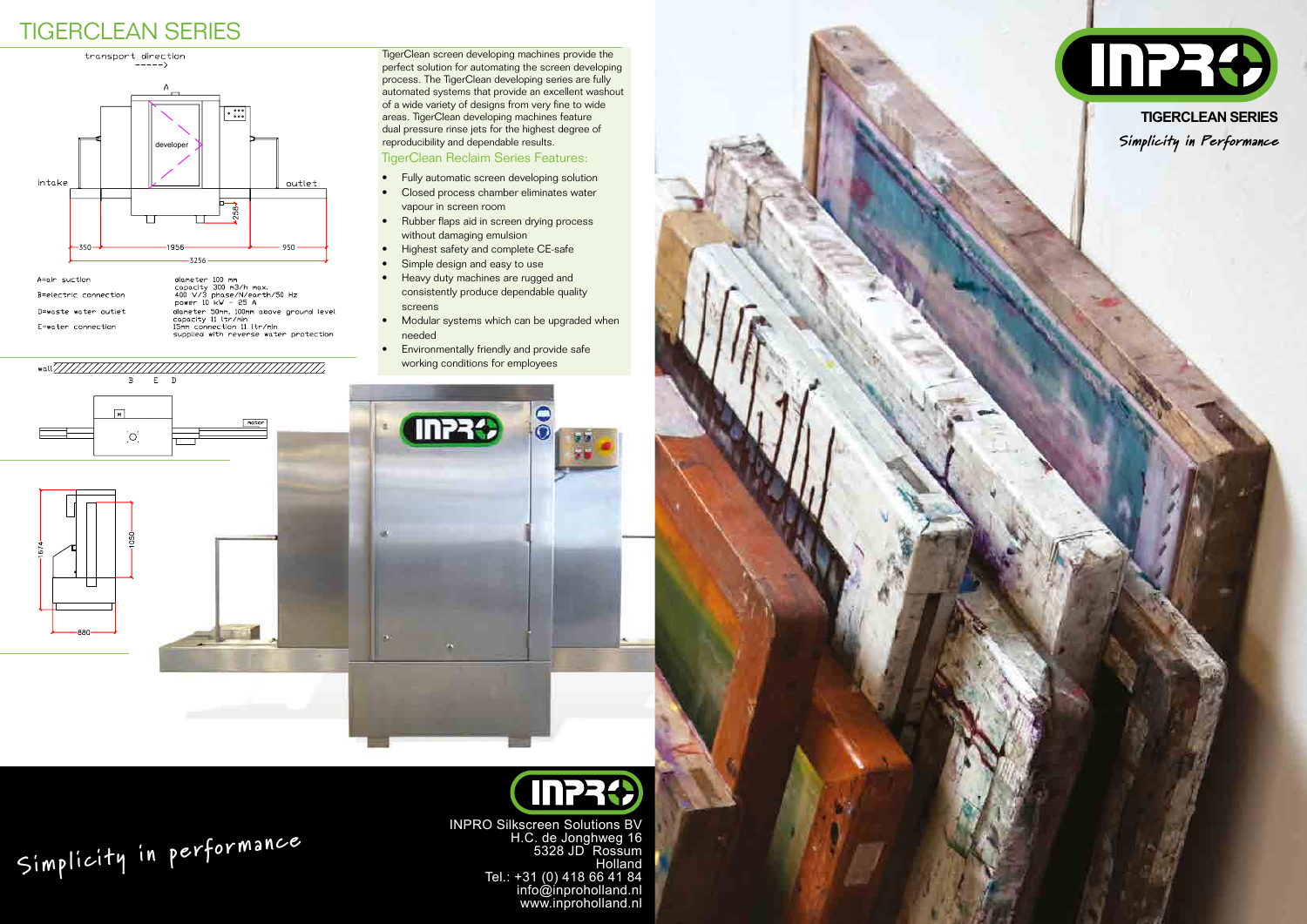TigerClean screen developing machines provide the perfect solution for automating the screen developing process. The TigerClean developing series are fully automated systems that provide an excellent washout of a wide variety of designs from very fine to wide areas. TigerClean developing machines feature dual pressure rinse jets for the highest degree of reproducibility and dependable results. developer Simplicity in Performance

- Heavy duty machines are rugged and consistently produce dependable quality screens
- Modular systems which can be upgraded when needed
- Environmentally friendly and provide safe working conditions for employees

 $E$  D  $\overline{B}$ 

**DESCRIPTION** 

# **InPRO**

### TigerClean Reclaim Series Features:

- Fully automatic screen developing solution
- Closed process chamber eliminates water vapour in screen room
- Rubber flaps aid in screen drying process without damaging emulsion
- Highest safety and complete CE-safe
- Simple design and easy to use

INPR<sup>2</sup>

## TIGERCLEAN SERIES

INPRO Silkscreen Solutions BV H.C. de Jonghweg 16 5328 JD Rossum Holland Tel.: +31 (0) 418 66 41 84 info@inproholland.nl www.inproholland.nl

# **Simplicity in performance**



**TIGERCLEAN SERIES**



diameter 100 mm<br>capacity 300 m3/h max.<br>400 V/3 phase/N/earth/50 Hz<br>power 10 kW - 25 A A=air suction B=electric connection power 10 Kw - 23 H<br>diameter 50mm, 100mm above ground level<br>copacity 11 ltr/min<br>15mm connection 11 ltr/min<br>supplied with reverse water protection D=waste water outlet E=water connection

 $\sqrt{M}$ 

 $\overline{O}$